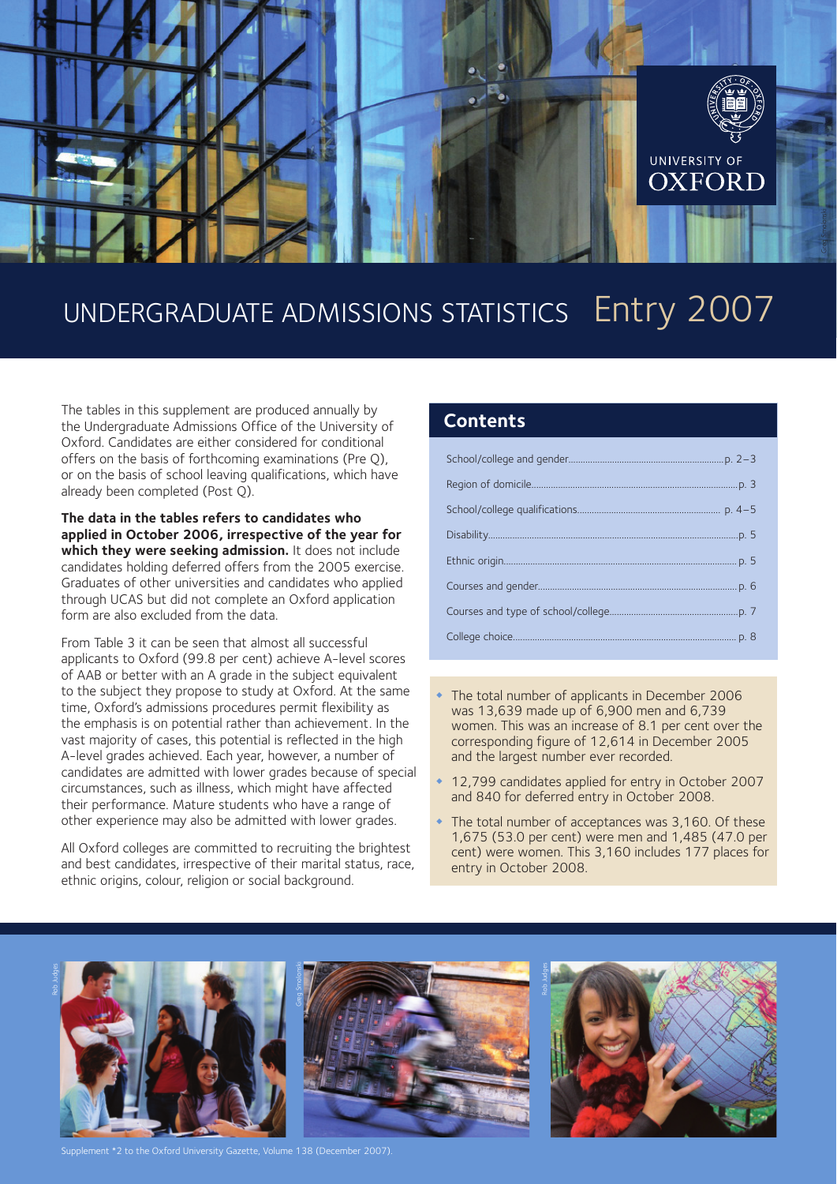

# UNDERGRADUATE ADMISSIONS STATISTICS Entry 2007

The tables in this supplement are produced annually by the Undergraduate Admissions Office of the University of Oxford. Candidates are either considered for conditional offers on the basis of forthcoming examinations (Pre Q), or on the basis of school leaving qualifications, which have already been completed (Post Q).

**The data in the tables refers to candidates who applied in October 2006, irrespective of the year for which they were seeking admission.** It does not include candidates holding deferred offers from the 2005 exercise. Graduates of other universities and candidates who applied through UCAS but did not complete an Oxford application form are also excluded from the data.

From Table 3 it can be seen that almost all successful applicants to Oxford (99.8 per cent) achieve A-level scores of AAB or better with an A grade in the subject equivalent to the subject they propose to study at Oxford. At the same time, Oxford's admissions procedures permit flexibility as the emphasis is on potential rather than achievement. In the vast majority of cases, this potential is reflected in the high A-level grades achieved. Each year, however, a number of candidates are admitted with lower grades because of special circumstances, such as illness, which might have affected their performance. Mature students who have a range of other experience may also be admitted with lower grades.

All Oxford colleges are committed to recruiting the brightest and best candidates, irrespective of their marital status, race, ethnic origins, colour, religion or social background.

#### **Contents**

- The total number of applicants in December 2006 was 13,639 made up of 6,900 men and 6,739 women. This was an increase of 8.1 per cent over the corresponding figure of 12,614 in December 2005 and the largest number ever recorded.
- ◆ 12,799 candidates applied for entry in October 2007 and 840 for deferred entry in October 2008.
- The total number of acceptances was 3,160. Of these 1,675 (53.0 per cent) were men and 1,485 (47.0 per cent) were women. This 3,160 includes 177 places for entry in October 2008.







nent \*2 to the Oxford University Gazette, Volume 138 (December 2007).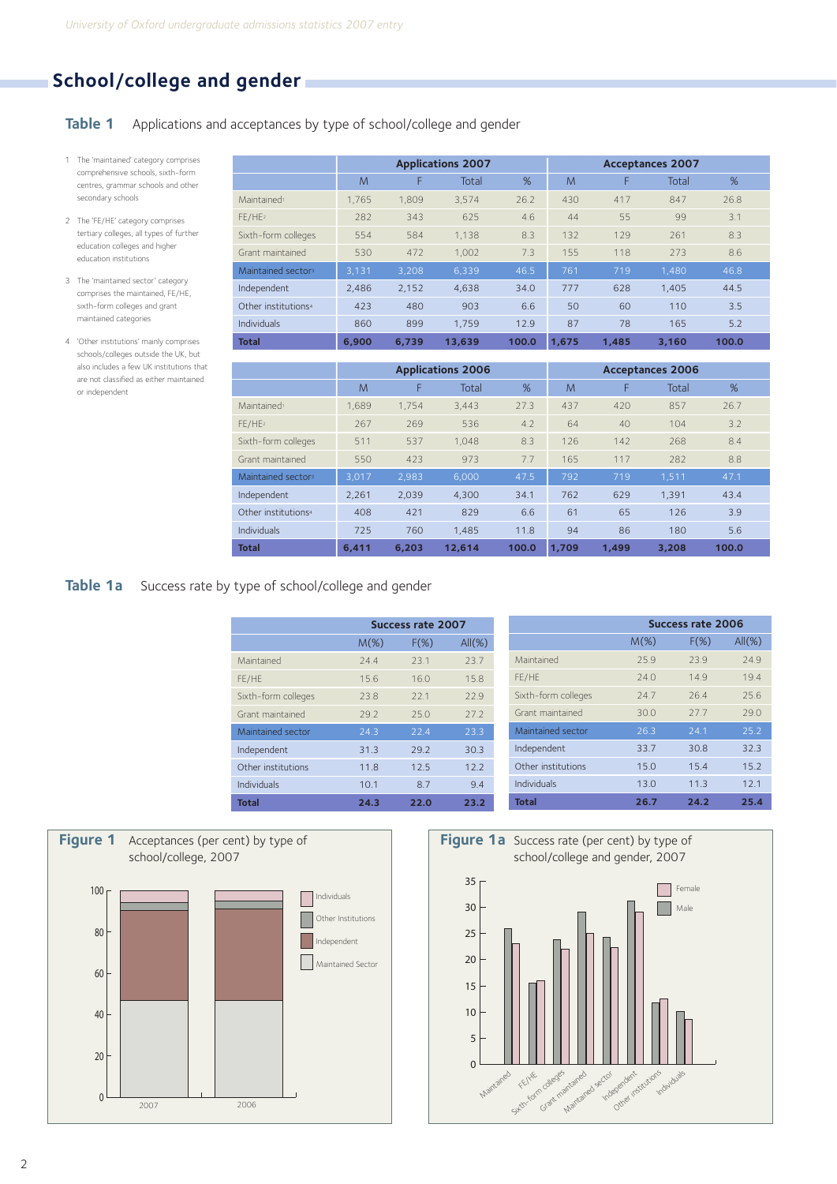## **School/college and gender**

**Table 1** Applications and acceptances by type of school/college and gender

- 1 The 'maintained' category comprises comprehensive schools, sixth-form centres, grammar schools and other secondary schools
- 2 The 'FE/HE' category comprises tertiary colleges, all types of further education colleges and higher education institutions
- 3 The 'maintained sector' category comprises the maintained, FE/HE, sixth-form colleges and grant maintained categories
- 4 'Other institutions' mainly comprises schools/colleges outside the UK, but also includes a few UK institutions that are not classified as either maintained or independent

|                                 | <b>Applications 2007</b> |       |        |       |       |       | <b>Acceptances 2007</b> |       |  |
|---------------------------------|--------------------------|-------|--------|-------|-------|-------|-------------------------|-------|--|
|                                 | M                        | F     | Total  | %     | M     | F     | Total                   | %     |  |
| Maintained <sup>1</sup>         | 1.765                    | 1.809 | 3.574  | 26.2  | 430   | 417   | 847                     | 26.8  |  |
| FE/HE2                          | 282                      | 343   | 625    | 4.6   | 44    | 55    | 99                      | 3.1   |  |
| Sixth-form colleges             | 554                      | 584   | 1.138  | 8.3   | 132   | 129   | 261                     | 8.3   |  |
| Grant maintained                | 530                      | 472   | 1.002  | 7.3   | 155   | 118   | 273                     | 8.6   |  |
| Maintained sectors              | 3,131                    | 3.208 | 6,339  | 46.5  | 761   | 719   | 1.480                   | 46.8  |  |
| Independent                     | 2,486                    | 2,152 | 4,638  | 34.0  | 777   | 628   | 1.405                   | 44.5  |  |
| Other institutions <sup>4</sup> | 423                      | 480   | 903    | 6.6   | 50    | 60    | 110                     | 3.5   |  |
| <b>Individuals</b>              | 860                      | 899   | 1.759  | 12.9  | 87    | 78    | 165                     | 5.2   |  |
| <b>Total</b>                    | 6.900                    | 6.739 | 13,639 | 100.0 | 1,675 | 1.485 | 3.160                   | 100.0 |  |

|                                 |       | <b>Applications 2006</b> |        |       |       |       | <b>Acceptances 2006</b> |       |  |
|---------------------------------|-------|--------------------------|--------|-------|-------|-------|-------------------------|-------|--|
|                                 | M     | F                        | Total  | %     | M     | F     | Total                   | %     |  |
| Maintained <sup>1</sup>         | 1.689 | 1.754                    | 3.443  | 27.3  | 437   | 420   | 857                     | 26.7  |  |
| FE/HE <sup>2</sup>              | 267   | 269                      | 536    | 4.2   | 64    | 40    | 104                     | 3.2   |  |
| Sixth-form colleges             | 511   | 537                      | 1.048  | 8.3   | 126   | 142   | 268                     | 8.4   |  |
| Grant maintained                | 550   | 423                      | 973    | 7.7   | 165   | 117   | 282                     | 8.8   |  |
| Maintained sectors              | 3.017 | 2,983                    | 6.000  | 47.5  | 792   | 719   | 1.511                   | 47.1  |  |
| Independent                     | 2.261 | 2.039                    | 4.300  | 34.1  | 762   | 629   | 1.391                   | 43.4  |  |
| Other institutions <sup>4</sup> | 408   | 421                      | 829    | 6.6   | 61    | 65    | 126                     | 3.9   |  |
| Individuals                     | 725   | 760                      | 1.485  | 11.8  | 94    | 86    | 180                     | 5.6   |  |
| <b>Total</b>                    | 6.411 | 6.203                    | 12.614 | 100.0 | 1.709 | 1.499 | 3,208                   | 100.0 |  |

#### **Table 1a** Success rate by type of school/college and gender

|                     |         | Success rate 2007 |           |
|---------------------|---------|-------------------|-----------|
|                     | $M(\%)$ | $F(\%)$           | $All(\%)$ |
| Maintained          | 744     | 23.1              | 23.7      |
| FE/HE               | 156     | 160               | 158       |
| Sixth-form colleges | 238     | 221               | 229       |
| Grant maintained    | 292     | 250               | 272       |
| Maintained sector   | 24.3    | 22.4              | 23.3      |
| Independent         | 31.3    | 29.2              | 30.3      |
| Other institutions  | 11.8    | 12.5              | 12.2      |
| Individuals         | 10.1    | 8.7               | 9.4       |
| Total               | 24.3    | 22.0              | 23.2      |

|                     |         | <b>Success rate 2006</b> |           |
|---------------------|---------|--------------------------|-----------|
|                     | $M(\%)$ | $F(\%)$                  | $All(\%)$ |
| Maintained          | 25.9    | 239                      | 249       |
| FE/HE               | 740     | 149                      | 194       |
| Sixth-form colleges | 24.7    | 264                      | 256       |
| Grant maintained    | 30.0    | 27.7                     | 290       |
| Maintained sector   | 26.3    | 24.1                     | 25.2      |
| Independent         | 33.7    | 30.8                     | 32.3      |
| Other institutions  | 15.0    | 15.4                     | 15.2      |
| Individuals         | 13.0    | 11.3                     | 12.1      |
| <b>Total</b>        | 26.7    | 24.2                     | 25.4      |



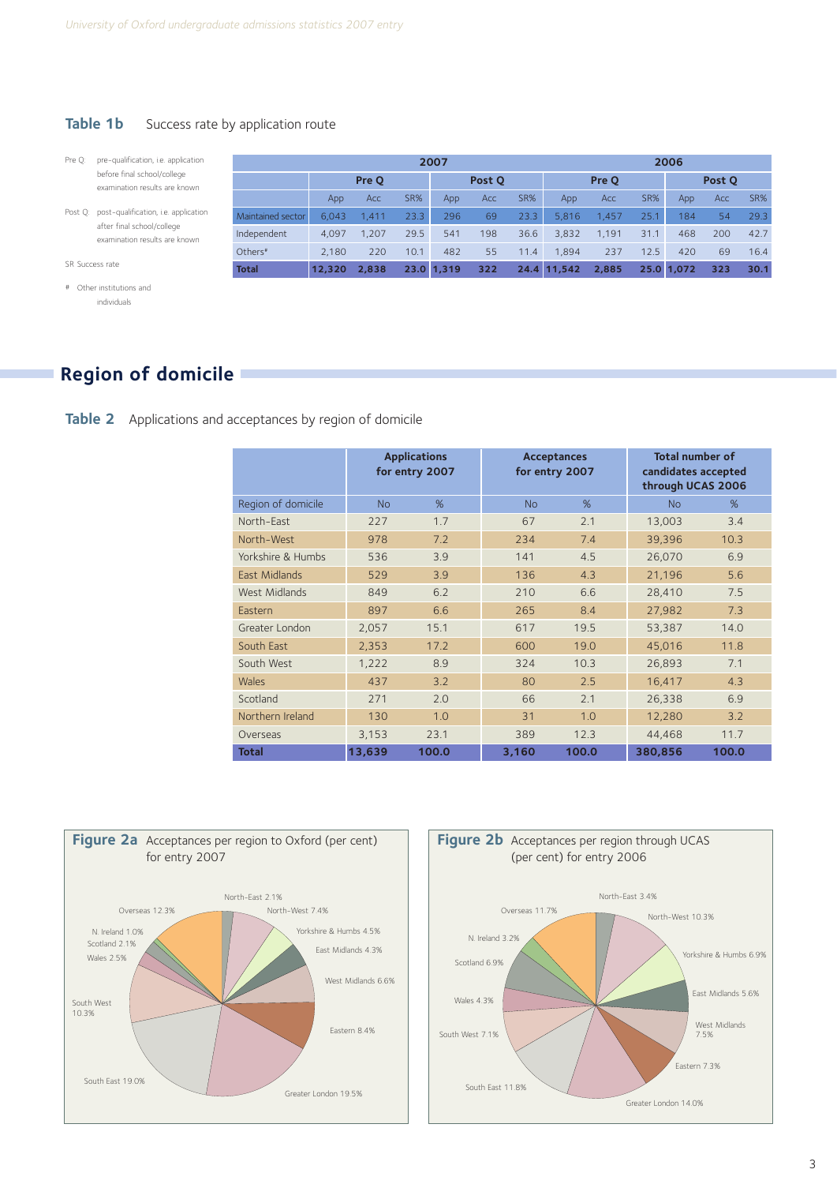#### **Table 1b** Success rate by application route

- Pre Q: pre-qualification, i.e. application before final school/college examination results are known
- Post Q: post-qualification, i.e. application after final school/college examination results are known

|                     |        | 2007  |      |            |     |       |             |       |        | 2006       |     |      |
|---------------------|--------|-------|------|------------|-----|-------|-------------|-------|--------|------------|-----|------|
|                     | Pre O  |       |      | Post Q     |     | Pre Q |             |       | Post Q |            |     |      |
|                     | App    | Acc   | SR%  | App        | Acc | SR%   | App         | Acc   | SR%    | App        | Acc | SR%  |
| Maintained sector   | 6.043  | 1.411 | 23.3 | 296        | 69  | 23.3  | 5.816       | 1.457 | 25.1   | 184        | 54  | 29.3 |
| Independent         | 4.097  | 1.207 | 29.5 | 541        | 198 | 36.6  | 3.832       | 1.191 | 31.1   | 468        | 200 | 42.7 |
| Others <sup>#</sup> | 2.180  | 220   | 10.1 | 482        | 55  | 11.4  | 1.894       | 237   | 12.5   | 420        | 69  | 16.4 |
| <b>Total</b>        | 12,320 | 2.838 |      | 23.0 1.319 | 322 |       | 24.4 11.542 | 2,885 |        | 25.0 1.072 | 323 | 30.1 |

SR Success rate

```
# Other institutions and 
individuals
```
## **Region of domicile**

**Table 2** Applications and acceptances by region of domicile

|                    | <b>Applications</b><br>for entry 2007 |       |           | <b>Acceptances</b><br>for entry 2007 | <b>Total number of</b><br>candidates accepted<br>through UCAS 2006 |       |  |
|--------------------|---------------------------------------|-------|-----------|--------------------------------------|--------------------------------------------------------------------|-------|--|
| Region of domicile | <b>No</b>                             | %     | <b>No</b> | %                                    | <b>No</b>                                                          | %     |  |
| North-East         | 227                                   | 1.7   | 67        | 2.1                                  | 13,003                                                             | 3.4   |  |
| North-West         | 978                                   | 7.2   | 234       | 7.4                                  | 39,396                                                             | 10.3  |  |
| Yorkshire & Humbs  | 536                                   | 3.9   | 141       | 4.5                                  | 26,070                                                             | 6.9   |  |
| East Midlands      | 529                                   | 3.9   | 136       | 4.3                                  | 21,196                                                             | 5.6   |  |
| West Midlands      | 849                                   | 6.2   | 210       | 6.6                                  | 28,410                                                             | 7.5   |  |
| Eastern            | 897                                   | 6.6   | 265       | 8.4                                  | 27,982                                                             | 7.3   |  |
| Greater London     | 2,057                                 | 15.1  | 617       | 19.5                                 | 53,387                                                             | 14.0  |  |
| South East         | 2,353                                 | 17.2  | 600       | 19.0                                 | 45,016                                                             | 11.8  |  |
| South West         | 1,222                                 | 8.9   | 324       | 10.3                                 | 26,893                                                             | 7.1   |  |
| Wales              | 437                                   | 3.2   | 80        | 2.5                                  | 16,417                                                             | 4.3   |  |
| Scotland           | 271                                   | 2.0   | 66        | 2.1                                  | 26,338                                                             | 6.9   |  |
| Northern Ireland   | 130                                   | 1.0   | 31        | 1.0                                  | 12,280                                                             | 3.2   |  |
| Overseas           | 3,153                                 | 23.1  | 389       | 12.3                                 | 44,468                                                             | 11.7  |  |
| <b>Total</b>       | 13,639                                | 100.0 | 3,160     | 100.0                                | 380,856                                                            | 100.0 |  |



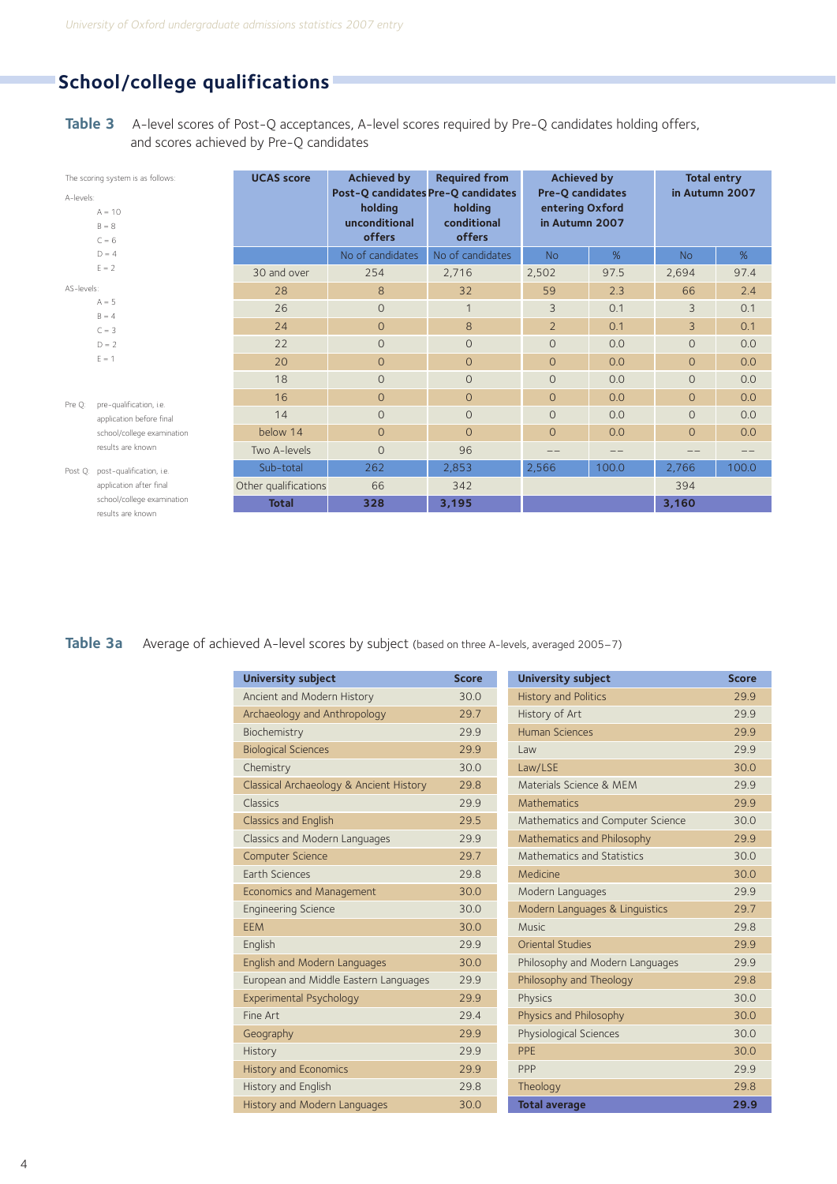## **School/college qualifications**

**Table 3** A-level scores of Post-Q acceptances, A-level scores required by Pre-Q candidates holding offers, and scores achieved by Pre-Q candidates

| The scoring system is as follows:<br>A-levels: |                                                 | <b>UCAS</b> score    | <b>Achieved by</b>                 | <b>Required from</b> | <b>Achieved by</b>      |       | <b>Total entry</b> |       |
|------------------------------------------------|-------------------------------------------------|----------------------|------------------------------------|----------------------|-------------------------|-------|--------------------|-------|
|                                                |                                                 |                      | Post-Q candidates Pre-Q candidates |                      | <b>Pre-Q candidates</b> |       | in Autumn 2007     |       |
|                                                | $A = 10$                                        |                      | holding                            | holding              | entering Oxford         |       |                    |       |
|                                                | $B = 8$                                         |                      | unconditional                      | conditional          | in Autumn 2007          |       |                    |       |
|                                                | $C = 6$                                         |                      | offers                             | offers               |                         |       |                    |       |
|                                                | $D = 4$                                         |                      | No of candidates                   | No of candidates     | <b>No</b>               | %     | <b>No</b>          | %     |
|                                                | $E = 2$                                         | 30 and over          | 254                                | 2,716                | 2,502                   | 97.5  | 2,694              | 97.4  |
| AS-levels:                                     |                                                 | 28                   | 8                                  | 32                   | 59                      | 2.3   | 66                 | 2.4   |
|                                                | $A = 5$                                         | 26                   | $\circ$                            | $\mathbf{1}$         | 3                       | 0.1   | 3                  | 0.1   |
|                                                | $B = 4$                                         | 24                   | $\circ$                            | 8                    | $\overline{2}$          | 0.1   | 3                  | 0.1   |
|                                                | $C = 3$                                         |                      |                                    |                      |                         |       |                    |       |
|                                                | $D = 2$                                         | 22                   | $\circ$                            | $\circ$              | $\Omega$                | 0.0   | $\circ$            | 0.0   |
|                                                | $E = 1$                                         | 20                   | $\circ$                            | $\mathbf{O}$         | $\Omega$                | 0.0   | $\overline{0}$     | 0.0   |
|                                                |                                                 | 18                   | $\circ$                            | $\circ$              | $\Omega$                | 0.0   | $\overline{0}$     | 0.0   |
| Pre O:                                         | pre-qualification, i.e.                         | 16                   | $\circ$                            | $\Omega$             | $\Omega$                | 0.0   | $\overline{O}$     | 0.0   |
|                                                | application before final                        | 14                   | $\overline{O}$                     | $\Omega$             | $\Omega$                | 0.0   | $\overline{0}$     | 0.0   |
|                                                | school/college examination                      | below 14             | $\circ$                            | $\Omega$             | $\circ$                 | 0.0   | $\overline{O}$     | 0.0   |
|                                                | results are known                               | Two A-levels         | $\overline{O}$                     | 96                   |                         | --    |                    |       |
| Post O:                                        | post-qualification, i.e.                        | Sub-total            | 262                                | 2,853                | 2,566                   | 100.0 | 2,766              | 100.0 |
|                                                | application after final                         | Other qualifications | 66                                 | 342                  |                         |       | 394                |       |
|                                                | school/college examination<br>results are known | <b>Total</b>         | 328                                | 3,195                |                         |       | 3,160              |       |
|                                                |                                                 |                      |                                    |                      |                         |       |                    |       |

Table 3a Average of achieved A-level scores by subject (based on three A-levels, averaged 2005-7)

| <b>University subject</b>               | <b>Score</b> |
|-----------------------------------------|--------------|
| Ancient and Modern History              | 30.0         |
| Archaeology and Anthropology            | 29.7         |
| Biochemistry                            | 29.9         |
| <b>Biological Sciences</b>              | 29.9         |
| Chemistry                               | 30.0         |
| Classical Archaeology & Ancient History | 29.8         |
| Classics                                | 29.9         |
| <b>Classics and English</b>             | 29.5         |
| Classics and Modern Languages           | 29.9         |
| <b>Computer Science</b>                 | 29.7         |
| Earth Sciences                          | 29.8         |
| <b>Economics and Management</b>         | 30.0         |
| <b>Engineering Science</b>              | 30.0         |
| <b>FFM</b>                              | 30.0         |
| English                                 | 29.9         |
| English and Modern Languages            | 30.0         |
| European and Middle Eastern Languages   | 29.9         |
| Experimental Psychology                 | 29.9         |
| Fine Art                                | 29.4         |
| Geography                               | 29.9         |
| History                                 | 29.9         |
| <b>History and Economics</b>            | 29.9         |
| History and English                     | 29.8         |
| History and Modern Languages            | 30.0         |

| <b>University subject</b>        | <b>Score</b> |
|----------------------------------|--------------|
| <b>History and Politics</b>      | 299          |
| History of Art                   | 29.9         |
| <b>Human Sciences</b>            | 29.9         |
| I aw                             | 29.9         |
| Law/LSE                          | 30.0         |
| Materials Science & MEM          | 29.9         |
| Mathematics                      | 29.9         |
| Mathematics and Computer Science | 30.0         |
| Mathematics and Philosophy       | 29.9         |
| Mathematics and Statistics       | 30.0         |
| Medicine                         | 30.0         |
| Modern Languages                 | 29.9         |
| Modern Languages & Linguistics   | 29.7         |
| Music                            | 29.8         |
| <b>Oriental Studies</b>          | 29.9         |
| Philosophy and Modern Languages  | 29.9         |
| Philosophy and Theology          | 29.8         |
| Physics                          | 30.0         |
| Physics and Philosophy           | 30.0         |
| Physiological Sciences           | 30.0         |
| PPF                              | 30.0         |
| PPP                              | 29.9         |
| Theology                         | 29.8         |
| <b>Total average</b>             | 29.9         |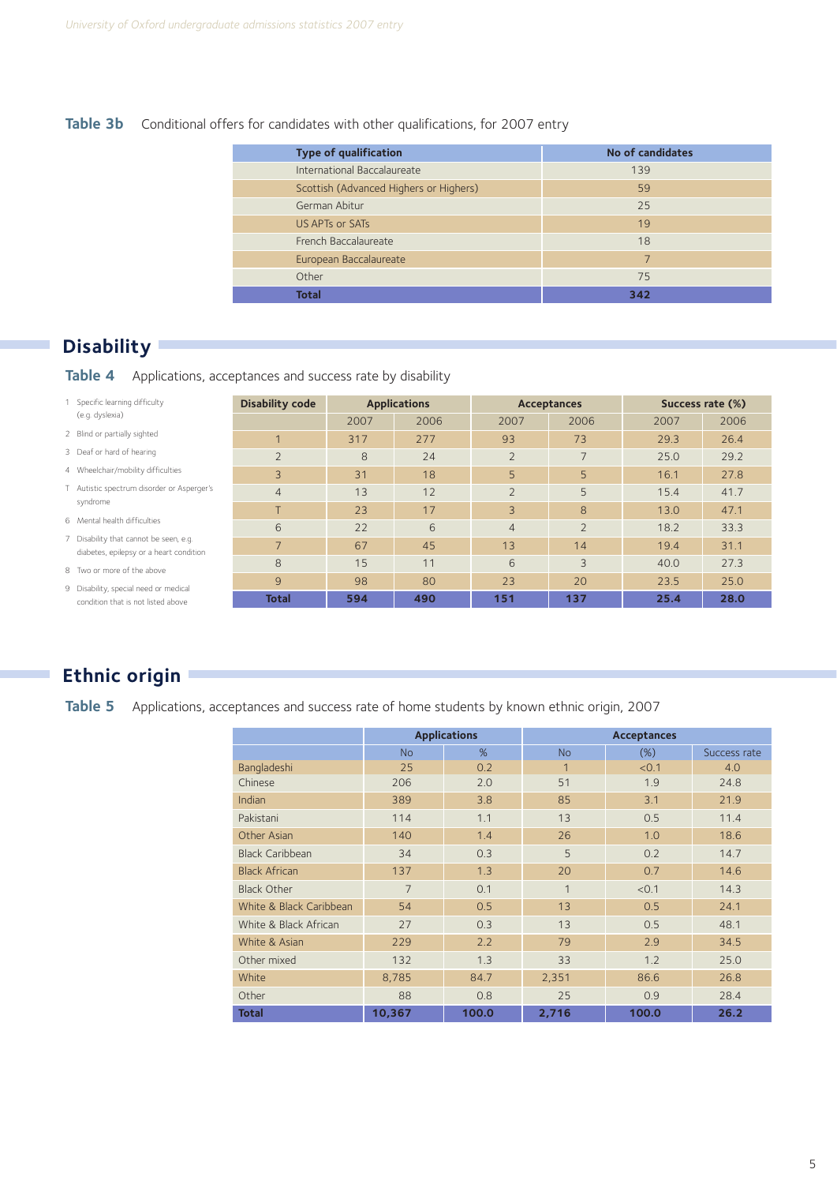#### Table 3b Conditional offers for candidates with other qualifications, for 2007 entry

| <b>Type of qualification</b>           | No of candidates |
|----------------------------------------|------------------|
| International Baccalaureate            | 139              |
| Scottish (Advanced Highers or Highers) | 59               |
| German Abitur                          | 25               |
| US APTs or SATs                        | 19               |
| French Baccalaureate                   | 18               |
| European Baccalaureate                 | $\overline{7}$   |
| Other                                  | 75               |
| <b>Total</b>                           | 342              |

## **Disability**

**Table 4** Applications, acceptances and success rate by disability

| 1 Specific learning difficulty                                                    | <b>Disability code</b> |      | <b>Applications</b> |                | <b>Acceptances</b> |      | Success rate (%) |
|-----------------------------------------------------------------------------------|------------------------|------|---------------------|----------------|--------------------|------|------------------|
| (e.g. dyslexia)                                                                   |                        | 2007 | 2006                | 2007           | 2006               | 2007 | 2006             |
| 2 Blind or partially sighted                                                      | $\overline{ }$         | 317  | 277                 | 93             | 73                 | 29.3 | 26.4             |
| 3 Deaf or hard of hearing                                                         | $\overline{2}$         | 8    | 24                  | $\overline{2}$ |                    | 25.0 | 29.2             |
| 4 Wheelchair/mobility difficulties                                                | 3                      | 31   | 18                  | 5              | 5                  | 16.1 | 27.8             |
| T Autistic spectrum disorder or Asperger's                                        | $\overline{4}$         | 13   | 12                  |                | 5                  | 15.4 | 41.7             |
| syndrome                                                                          | T                      | 23   | 17                  | 3              | 8                  | 13.0 | 47.1             |
| 6 Mental health difficulties                                                      | 6                      | 22   | 6                   | $\overline{4}$ | $\overline{2}$     | 18.2 | 33.3             |
| 7 Disability that cannot be seen, e.g.<br>diabetes, epilepsy or a heart condition | 7                      | 67   | 45                  | 13             | 14                 | 19.4 | 31.1             |
| 8 Two or more of the above                                                        | 8                      | 15   | 11                  | 6              | 3                  | 40.0 | 27.3             |
| 9 Disability, special need or medical                                             | 9                      | 98   | 80                  | 23             | 20                 | 23.5 | 25.0             |
| condition that is not listed above                                                | <b>Total</b>           | 594  | 490                 | 151            | 137                | 25.4 | 28.0             |

## **Ethnic origin**

Table 5 Applications, acceptances and success rate of home students by known ethnic origin, 2007

|                         |                | <b>Applications</b> |              |       |              |
|-------------------------|----------------|---------------------|--------------|-------|--------------|
|                         | <b>No</b>      | %                   | <b>No</b>    | (%)   | Success rate |
| Bangladeshi             | 25             | 0.2                 | 1            | < 0.1 | 4.0          |
| Chinese                 | 206            | 2.0                 | 51           | 1.9   | 24.8         |
| Indian                  | 389            | 3.8                 | 85           | 3.1   | 21.9         |
| Pakistani               | 114            | 1.1                 | 13           | 0.5   | 11.4         |
| Other Asian             | 140            | 1.4                 | 26           | 1.0   | 18.6         |
| <b>Black Caribbean</b>  | 34             | 0.3                 | 5            | 0.2   | 14.7         |
| <b>Black African</b>    | 137            | 1.3                 | 20           | 0.7   | 14.6         |
| <b>Black Other</b>      | $\overline{7}$ | 0.1                 | $\mathbf{1}$ | < 0.1 | 14.3         |
| White & Black Caribbean | 54             | 0.5                 | 13           | 0.5   | 24.1         |
| White & Black African   | 27             | 0.3                 | 13           | 0.5   | 48.1         |
| White & Asian           | 229            | 2.2                 | 79           | 2.9   | 34.5         |
| Other mixed             | 132            | 1.3                 | 33           | 1.2   | 25.0         |
| White                   | 8,785          | 84.7                | 2,351        | 86.6  | 26.8         |
| Other                   | 88             | 0.8                 | 25           | 0.9   | 28.4         |
| <b>Total</b>            | 10,367         | 100.0               | 2,716        | 100.0 | 26.2         |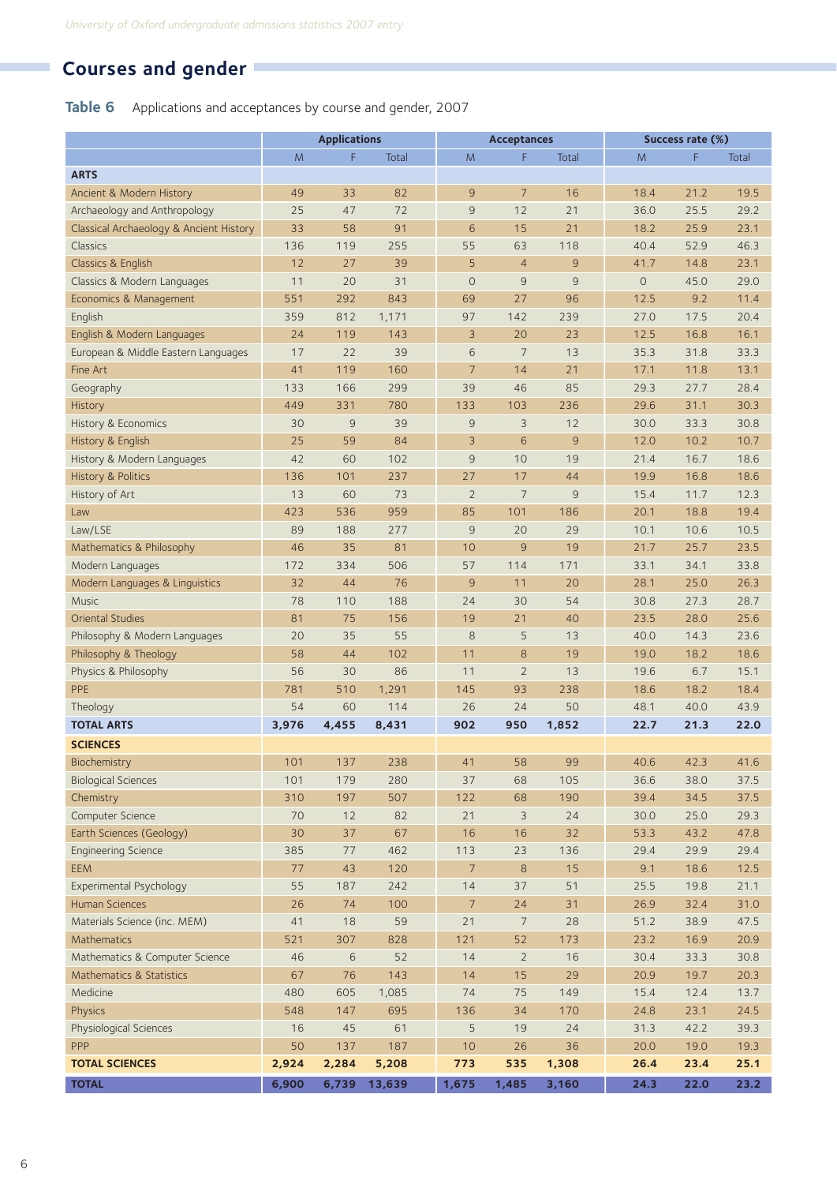## **Courses and gender**

**Table 6** Applications and acceptances by course and gender, 2007

|                                         | <b>Applications</b> |             |        | <b>Acceptances</b> |                |                | Success rate (%) |      |              |
|-----------------------------------------|---------------------|-------------|--------|--------------------|----------------|----------------|------------------|------|--------------|
|                                         | M                   | F           | Total  | M                  | F              | Total          | M                | F    | <b>Total</b> |
| <b>ARTS</b>                             |                     |             |        |                    |                |                |                  |      |              |
| Ancient & Modern History                | 49                  | 33          | 82     | 9                  | $\overline{7}$ | 16             | 18.4             | 21.2 | 19.5         |
| Archaeology and Anthropology            | 25                  | 47          | 72     | $\overline{9}$     | 12             | 21             | 36.0             | 25.5 | 29.2         |
| Classical Archaeology & Ancient History | 33                  | 58          | 91     | 6                  | 15             | 21             | 18.2             | 25.9 | 23.1         |
| Classics                                | 136                 | 119         | 255    | 55                 | 63             | 118            | 40.4             | 52.9 | 46.3         |
| Classics & English                      | 12                  | 27          | 39     | 5                  | $\overline{4}$ | 9              | 41.7             | 14.8 | 23.1         |
| Classics & Modern Languages             | 11                  | 20          | 31     | $\mathbf 0$        | $\overline{9}$ | 9              | $\mathbf 0$      | 45.0 | 29.0         |
| Economics & Management                  | 551                 | 292         | 843    | 69                 | 27             | 96             | 12.5             | 9.2  | 11.4         |
| English                                 | 359                 | 812         | 1,171  | 97                 | 142            | 239            | 27.0             | 17.5 | 20.4         |
| English & Modern Languages              | 24                  | 119         | 143    | 3                  | 20             | 23             | 12.5             | 16.8 | 16.1         |
| European & Middle Eastern Languages     | 17                  | 22          | 39     | 6                  | $\overline{7}$ | 13             | 35.3             | 31.8 | 33.3         |
| Fine Art                                | 41                  | 119         | 160    | 7                  | 14             | 21             | 17.1             | 11.8 | 13.1         |
| Geography                               | 133                 | 166         | 299    | 39                 | 46             | 85             | 29.3             | 27.7 | 28.4         |
| <b>History</b>                          | 449                 | 331         | 780    | 133                | 103            | 236            | 29.6             | 31.1 | 30.3         |
| History & Economics                     | 30                  | $\mathsf 9$ | 39     | 9                  | 3              | 12             | 30.0             | 33.3 | 30.8         |
| History & English                       | 25                  | 59          | 84     | 3                  | 6              | $\overline{9}$ | 12.0             | 10.2 | 10.7         |
| History & Modern Languages              | 42                  | 60          | 102    | $\overline{9}$     | 10             | 19             | 21.4             | 16.7 | 18.6         |
| History & Politics                      | 136                 | 101         | 237    | 27                 | 17             | 44             | 19.9             | 16.8 | 18.6         |
| History of Art                          | 13                  | 60          | 73     | $\overline{2}$     | 7              | 9              | 15.4             | 11.7 | 12.3         |
| Law                                     | 423                 | 536         | 959    | 85                 | 101            | 186            | 20.1             | 18.8 | 19.4         |
| Law/LSE                                 | 89                  | 188         | 277    | 9                  | 20             | 29             | 10.1             | 10.6 | 10.5         |
| Mathematics & Philosophy                | 46                  | 35          | 81     | 10                 | $\overline{9}$ | 19             | 21.7             | 25.7 | 23.5         |
| Modern Languages                        | 172                 | 334         | 506    | 57                 | 114            | 171            | 33.1             | 34.1 | 33.8         |
| Modern Languages & Linguistics          | 32                  | 44          | 76     | 9                  | 11             | 20             | 28.1             | 25.0 | 26.3         |
| <b>Music</b>                            | 78                  | 110         | 188    | 24                 | 30             | 54             | 30.8             | 27.3 | 28.7         |
| Oriental Studies                        | 81                  | 75          | 156    | 19                 | 21             | 40             | 23.5             | 28.0 | 25.6         |
| Philosophy & Modern Languages           | 20                  | 35          | 55     | 8                  | 5              | 13             | 40.0             | 14.3 | 23.6         |
| Philosophy & Theology                   | 58                  | 44          | 102    | 11                 | 8              | 19             | 19.0             | 18.2 | 18.6         |
| Physics & Philosophy                    | 56                  | 30          | 86     | 11                 | $\overline{2}$ | 13             | 19.6             | 6.7  | 15.1         |
| PPE                                     | 781                 | 510         | 1,291  | 145                | 93             | 238            | 18.6             | 18.2 | 18.4         |
| Theology                                | 54                  | 60          | 114    | 26                 | 24             | 50             | 48.1             | 40.0 | 43.9         |
| <b>TOTAL ARTS</b>                       | 3,976               | 4,455       | 8,431  | 902                | 950            | 1,852          | 22.7             | 21.3 | 22.0         |
| <b>SCIENCES</b>                         |                     |             |        |                    |                |                |                  |      |              |
| Biochemistry                            | 101                 | 137         | 238    | 41                 | 58             | 99             | 40.6             | 42.3 | 41.6         |
| <b>Biological Sciences</b>              | 101                 | 179         | 280    | 37                 | 68             | 105            | 36.6             | 38.0 | 37.5         |
| Chemistry                               | 310                 | 197         | 507    | 122                | 68             | 190            | 39.4             | 34.5 | 37.5         |
| Computer Science                        | 70                  | 12          | 82     | 21                 | $\mathcal{E}$  | 24             | 30.0             | 25.0 | 29.3         |
| Earth Sciences (Geology)                | 30                  | 37          | 67     | 16                 | 16             | 32             | 53.3             | 43.2 | 47.8         |
| <b>Engineering Science</b>              | 385                 | 77          | 462    | 113                | 23             | 136            | 29.4             | 29.9 | 29.4         |
| <b>EEM</b>                              | 77                  | 43          | 120    | $\overline{7}$     | $\delta$       | 15             | 9.1              | 18.6 | 12.5         |
| Experimental Psychology                 | 55                  | 187         | 242    | 14                 | 37             | 51             | 25.5             | 19.8 | 21.1         |
| <b>Human Sciences</b>                   | 26                  | 74          | 100    | $\overline{7}$     | 24             | 31             | 26.9             | 32.4 | 31.0         |
| Materials Science (inc. MEM)            | 41                  | 18          | 59     | 21                 | $\overline{7}$ | 28             | 51.2             | 38.9 | 47.5         |
| Mathematics                             | 521                 | 307         | 828    | 121                | 52             | 173            | 23.2             | 16.9 | 20.9         |
| Mathematics & Computer Science          | 46                  | $\sqrt{6}$  | 52     | 14                 | $\overline{2}$ | 16             | 30.4             | 33.3 | 30.8         |
| Mathematics & Statistics                | 67                  | 76          | 143    | 14                 | 15             | 29             | 20.9             | 19.7 | 20.3         |
| Medicine                                | 480                 | 605         | 1,085  | 74                 | 75             | 149            | 15.4             | 12.4 | 13.7         |
| Physics                                 | 548                 | 147         | 695    | 136                | 34             | 170            | 24.8             | 23.1 | 24.5         |
| Physiological Sciences                  | 16                  | 45          | 61     | 5                  | 19             | 24             | 31.3             | 42.2 | 39.3         |
| PPP                                     | 50                  | 137         | 187    | 10                 | 26             | 36             | 20.0             | 19.0 | 19.3         |
| <b>TOTAL SCIENCES</b>                   | 2,924               | 2,284       | 5,208  | 773                | 535            | 1,308          | 26.4             | 23.4 | 25.1         |
| <b>TOTAL</b>                            | 6,900               | 6,739       | 13,639 | 1,675              | 1,485          | 3,160          | 24.3             | 22.0 | 23.2         |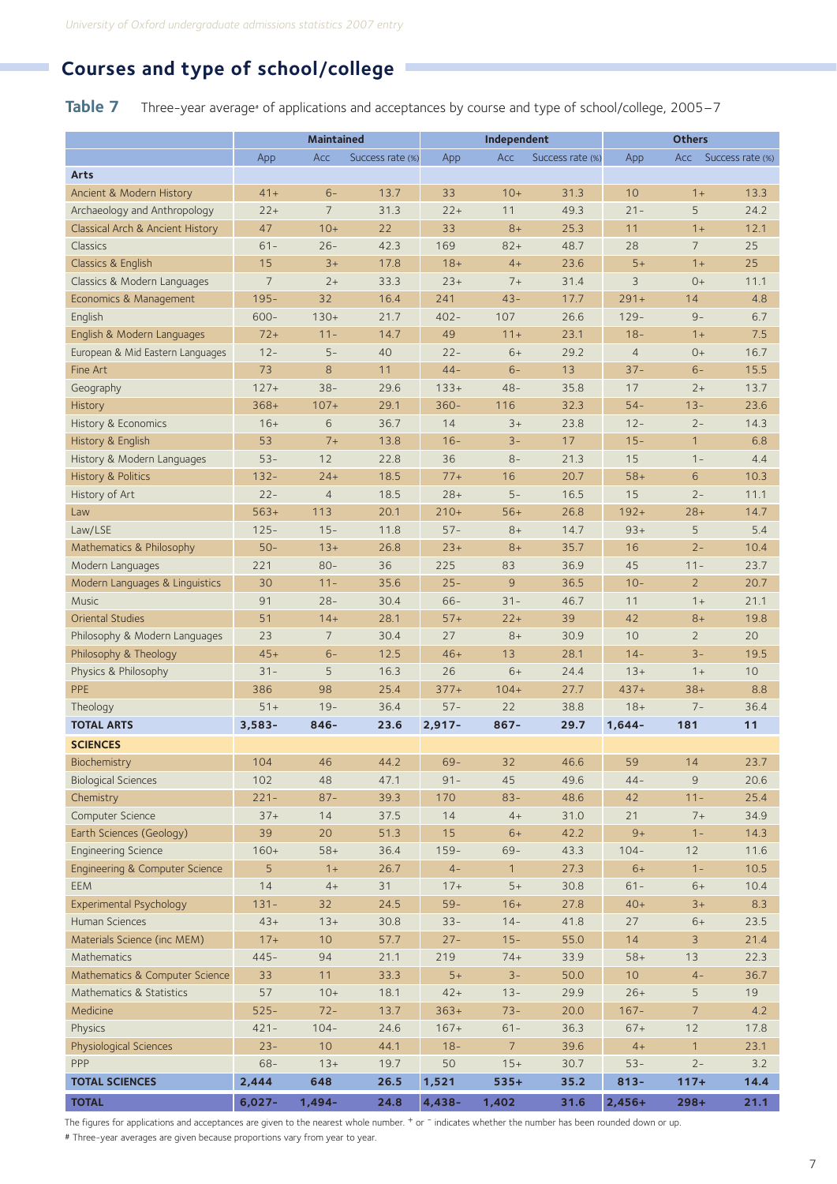## **Courses and type of school/college**

**Table 7** Three-year average<sup>\*</sup> of applications and acceptances by course and type of school/college, 2005–7

|                                  | <b>Maintained</b> |                |                  | Independent   |                | <b>Others</b>    |                |                |                      |
|----------------------------------|-------------------|----------------|------------------|---------------|----------------|------------------|----------------|----------------|----------------------|
|                                  | App               | Acc            | Success rate (%) | App           | Acc            | Success rate (%) | App            |                | Acc Success rate (%) |
| Arts                             |                   |                |                  |               |                |                  |                |                |                      |
| Ancient & Modern History         | $41+$             | $6-$           | 13.7             | 33            | $10+$          | 31.3             | 10             | $1+$           | 13.3                 |
| Archaeology and Anthropology     | $22+$             | $\overline{7}$ | 31.3             | $22+$         | 11             | 49.3             | $21 -$         | 5              | 24.2                 |
| Classical Arch & Ancient History | 47                | $10+$          | 22               | 33            | $8+$           | 25.3             | 11             | $1+$           | 12.1                 |
| Classics                         | $61 -$            | $26 -$         | 42.3             | 169           | $82+$          | 48.7             | 28             | $\overline{7}$ | 25                   |
| Classics & English               | 15                | $3+$           | 17.8             | $18+$         | $4+$           | 23.6             | $5+$           | $1+$           | 25                   |
| Classics & Modern Languages      | $\overline{7}$    | $2+$           | 33.3             | $23+$         | $7+$           | 31.4             | 3              | $0+$           | 11.1                 |
| Economics & Management           | $195 -$           | 32             | 16.4             | 241           | $43 -$         | 17.7             | $291+$         | 14             | 4.8                  |
| English                          | $600 -$           | $130+$         | 21.7             | $402 -$       | 107            | 26.6             | $129 -$        | $9-$           | 6.7                  |
| English & Modern Languages       | $72+$             | $11 -$         | 14.7             | 49            | $11 +$         | 23.1             | $18 -$         | $1+$           | 7.5                  |
| European & Mid Eastern Languages | $12 -$            | $5-$           | 40               | $22 -$        | $6+$           | 29.2             | $\overline{4}$ | $0+$           | 16.7                 |
| Fine Art                         | 73                | 8              | 11               | $44 -$        | $6-$           | 13               | $37 -$         | $6-$           | 15.5                 |
| Geography                        | $127+$            | $38 -$         | 29.6             | $133+$        | $48 -$         | 35.8             | 17             | $2+$           | 13.7                 |
| <b>History</b>                   | $368+$            | $107+$         | 29.1             | $360 -$       | 116            | 32.3             | $54-$          | $13 -$         | 23.6                 |
| History & Economics              | $16+$             | 6              | 36.7             | 14            | $3+$           | 23.8             | $12 -$         | $2 -$          | 14.3                 |
| History & English                | 53                | $7+$           | 13.8             | $16 -$        | $3 -$          | 17               | $15 -$         | $\mathbf{1}$   | 6.8                  |
| History & Modern Languages       | $53 -$            | 12             | 22.8             | 36            | $8-$           | 21.3             | 15             | $1 -$          | 4.4                  |
| <b>History &amp; Politics</b>    | $132 -$           | $24+$          | 18.5             | $77+$         | 16             | 20.7             | $58+$          | 6              | 10.3                 |
| History of Art                   | $22 -$            | $\overline{4}$ | 18.5             | $28+$         | $5 -$          | 16.5             | 15             | $2 -$          | 11.1                 |
| Law                              | $563+$            | 113            | 20.1             | $210+$        | $56+$          | 26.8             | $192+$         | $28+$          | 14.7                 |
| Law/LSE                          | $125 -$           | $15 -$         | 11.8             | $57 -$        | $8+$           | 14.7             | $93+$          | 5              | 5.4                  |
|                                  | $50-$             | $13+$          | 26.8             |               | $8+$           | 35.7             | 16             | $2 -$          | 10.4                 |
| Mathematics & Philosophy         |                   |                | 36               | $23+$         |                |                  |                |                |                      |
| Modern Languages                 | 221               | $80 -$         |                  | 225<br>$25 -$ | 83             | 36.9             | 45             | $11 -$         | 23.7                 |
| Modern Languages & Linguistics   | 30                | $11 -$         | 35.6             |               | 9              | 36.5             | $10 -$         | $\overline{2}$ | 20.7                 |
| <b>Music</b>                     | 91                | $28 -$         | 30.4             | $66-$         | $31 -$         | 46.7             | 11             | $1+$           | 21.1                 |
| <b>Oriental Studies</b>          | 51                | $14 +$         | 28.1             | $57+$         | $22+$          | 39               | 42             | $8+$           | 19.8                 |
| Philosophy & Modern Languages    | 23                | $\overline{7}$ | 30.4             | 27            | $8+$           | 30.9             | 10             | $\overline{2}$ | 20                   |
| Philosophy & Theology            | $45+$             | $6-$           | 12.5             | $46+$         | 13             | 28.1             | $14-$          | $3 -$          | 19.5                 |
| Physics & Philosophy             | $31 -$            | 5              | 16.3             | 26            | $6+$           | 24.4             | $13+$          | $1+$           | 10                   |
| PPE                              | 386               | 98             | 25.4             | $377+$        | $104+$         | 27.7             | $437+$         | $38+$          | 8.8                  |
| Theology                         | $51+$             | $19-$          | 36.4             | $57 -$        | 22             | 38.8             | $18+$          | $7 -$          | 36.4                 |
| <b>TOTAL ARTS</b>                | $3,583-$          | $846 -$        | 23.6             | $2,917-$      | $867 -$        | 29.7             | $1,644-$       | 181            | 11                   |
| <b>SCIENCES</b>                  |                   |                |                  |               |                |                  |                |                |                      |
| Biochemistry                     | 104               | 46             | 44.2             | $69-$         | 32             | 46.6             | 59             | 14             | 23.7                 |
| <b>Biological Sciences</b>       | 102               | 48             | 47.1             | $91 -$        | 45             | 49.6             | $44 -$         | 9              | 20.6                 |
| Chemistry                        | $221 -$           | $87 -$         | 39.3             | 170           | $83 -$         | 48.6             | 42             | $11 -$         | 25.4                 |
| Computer Science                 | $37+$             | 14             | 37.5             | 14            | $4+$           | 31.0             | 21             | $7+$           | 34.9                 |
| Earth Sciences (Geology)         | 39                | 20             | 51.3             | 15            | $6+$           | 42.2             | $9+$           | $1 -$          | 14.3                 |
| <b>Engineering Science</b>       | $160+$            | $58+$          | 36.4             | $159 -$       | $69-$          | 43.3             | $104 -$        | 12             | 11.6                 |
| Engineering & Computer Science   | 5                 | $1+$           | 26.7             | $4-$          | $\mathbf{1}$   | 27.3             | $6+$           | $1 -$          | 10.5                 |
| <b>EEM</b>                       | 14                | $4+$           | 31               | $17+$         | $5+$           | 30.8             | $61 -$         | $6+$           | 10.4                 |
| Experimental Psychology          | $131 -$           | 32             | 24.5             | $59-$         | $16+$          | 27.8             | $40+$          | $3+$           | 8.3                  |
| Human Sciences                   | $43+$             | $13+$          | 30.8             | $33 -$        | $14-$          | 41.8             | 27             | $6+$           | 23.5                 |
| Materials Science (inc MEM)      | $17 +$            | 10             | 57.7             | $27 -$        | $15 -$         | 55.0             | 14             | 3              | 21.4                 |
| Mathematics                      | $445 -$           | 94             | 21.1             | 219           | $74+$          | 33.9             | $58+$          | 13             | 22.3                 |
| Mathematics & Computer Science   | 33                | 11             | 33.3             | $5+$          | $3 -$          | 50.0             | 10             | $4-$           | 36.7                 |
| Mathematics & Statistics         | 57                | $10+$          | 18.1             | $42+$         | $13 -$         | 29.9             | $26+$          | 5              | 19                   |
| Medicine                         | $525 -$           | $72 -$         | 13.7             | $363+$        | $73 -$         | 20.0             | $167 -$        | $\overline{7}$ | 4.2                  |
| Physics                          | $421 -$           | $104 -$        | 24.6             | $167+$        | $61 -$         | 36.3             | $67+$          | 12             | 17.8                 |
| Physiological Sciences           | $23 -$            | 10             | 44.1             | $18 -$        | $\overline{7}$ | 39.6             | $4+$           | $\mathbf{1}$   | 23.1                 |
| PPP                              | $68 -$            | $13+$          | 19.7             | 50            | $15+$          | 30.7             | $53 -$         | $2 -$          | 3.2                  |
| <b>TOTAL SCIENCES</b>            | 2,444             | 648            | 26.5             | 1,521         | $535+$         | 35.2             | $813 -$        | $117+$         | 14.4                 |
| <b>TOTAL</b>                     | $6,027 -$         | $1,494-$       | 24.8             | 4,438-        | 1,402          | 31.6             | 2,456+         | $298+$         | 21.1                 |
|                                  |                   |                |                  |               |                |                  |                |                |                      |

The figures for applications and acceptances are given to the nearest whole number. + or - indicates whether the number has been rounded down or up.

# Three-year averages are given because proportions vary from year to year.